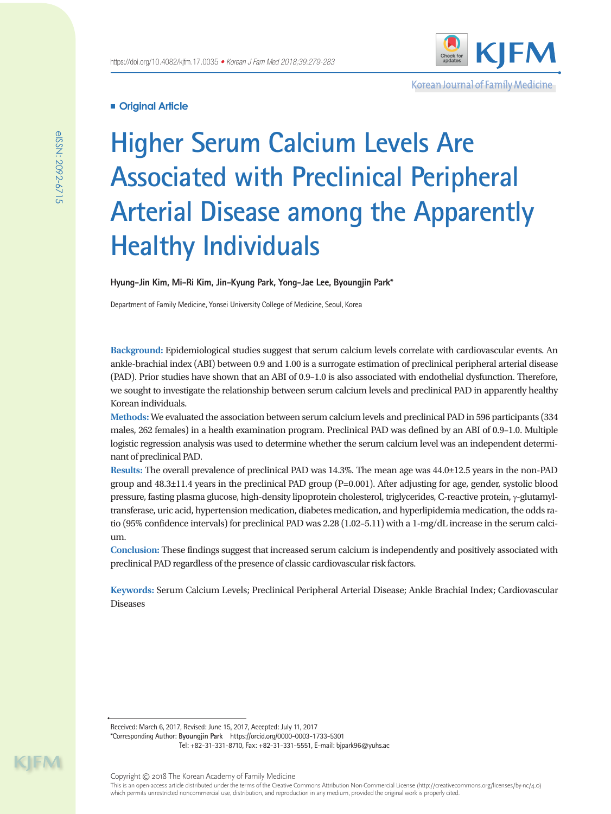

Korean Journal of Family Medicine

## **Original Article**

# **Higher Serum Calcium Levels Are Associated with Preclinical Peripheral Arterial Disease among the Apparently Healthy Individuals**

**Hyung-Jin Kim, Mi-Ri Kim, Jin-Kyung Park, Yong-Jae Lee, Byoungjin Park\***

Department of Family Medicine, Yonsei University College of Medicine, Seoul, Korea

**Background:** Epidemiological studies suggest that serum calcium levels correlate with cardiovascular events. An ankle-brachial index (ABI) between 0.9 and 1.00 is a surrogate estimation of preclinical peripheral arterial disease (PAD). Prior studies have shown that an ABI of 0.9–1.0 is also associated with endothelial dysfunction. Therefore, we sought to investigate the relationship between serum calcium levels and preclinical PAD in apparently healthy Korean individuals.

**Methods:** We evaluated the association between serum calcium levels and preclinical PAD in 596 participants (334 males, 262 females) in a health examination program. Preclinical PAD was defined by an ABI of 0.9–1.0. Multiple logistic regression analysis was used to determine whether the serum calcium level was an independent determinant of preclinical PAD.

**Results:** The overall prevalence of preclinical PAD was 14.3%. The mean age was 44.0±12.5 years in the non-PAD group and 48.3±11.4 years in the preclinical PAD group (P=0.001). After adjusting for age, gender, systolic blood pressure, fasting plasma glucose, high-density lipoprotein cholesterol, triglycerides, C-reactive protein,  $\gamma$ -glutamyltransferase, uric acid, hypertension medication, diabetes medication, and hyperlipidemia medication, the odds ratio (95% confidence intervals) for preclinical PAD was 2.28 (1.02–5.11) with a 1-mg/dL increase in the serum calcium.

**Conclusion:** These findings suggest that increased serum calcium is independently and positively associated with preclinical PAD regardless of the presence of classic cardiovascular risk factors.

**Keywords:** Serum Calcium Levels; Preclinical Peripheral Arterial Disease; Ankle Brachial Index; Cardiovascular Diseases

Received: March 6, 2017, Revised: June 15, 2017, Accepted: July 11, 2017

\*Corresponding Author: **Byoungjin Park** https://orcid.org/0000-0003-1733-5301 Tel: +82-31-331-8710, Fax: +82-31-331-5551, E-mail: bjpark96@yuhs.ac

KIM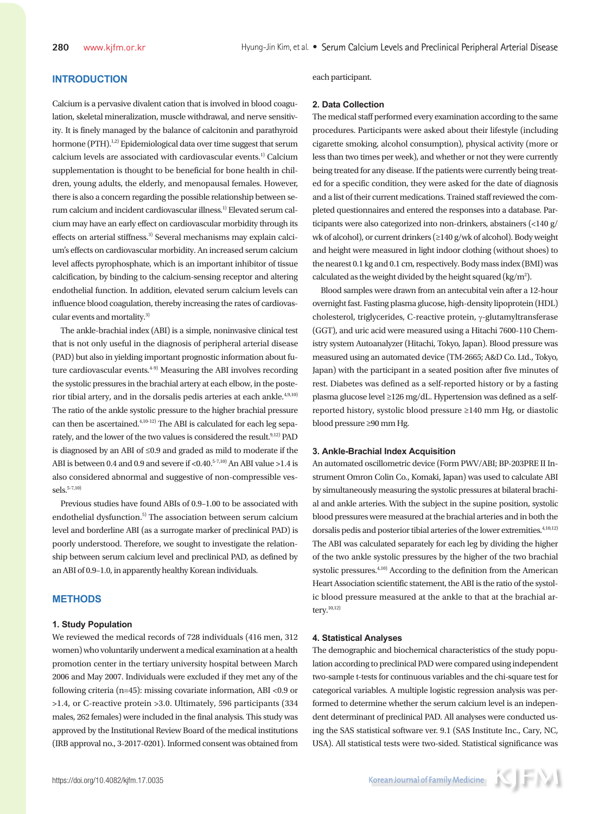## **INTRODUCTION**

Calcium is a pervasive divalent cation that is involved in blood coagulation, skeletal mineralization, muscle withdrawal, and nerve sensitivity. It is finely managed by the balance of calcitonin and parathyroid hormone (PTH).<sup>1,2)</sup> Epidemiological data over time suggest that serum calcium levels are associated with cardiovascular events.<sup>1)</sup> Calcium supplementation is thought to be beneficial for bone health in children, young adults, the elderly, and menopausal females. However, there is also a concern regarding the possible relationship between serum calcium and incident cardiovascular illness.1) Elevated serum calcium may have an early effect on cardiovascular morbidity through its effects on arterial stiffness.<sup>3)</sup> Several mechanisms may explain calcium's effects on cardiovascular morbidity. An increased serum calcium level affects pyrophosphate, which is an important inhibitor of tissue calcification, by binding to the calcium-sensing receptor and altering endothelial function. In addition, elevated serum calcium levels can influence blood coagulation, thereby increasing the rates of cardiovascular events and mortality.<sup>3)</sup>

The ankle-brachial index (ABI) is a simple, noninvasive clinical test that is not only useful in the diagnosis of peripheral arterial disease (PAD) but also in yielding important prognostic information about future cardiovascular events.<sup>4-9)</sup> Measuring the ABI involves recording the systolic pressures in the brachial artery at each elbow, in the posterior tibial artery, and in the dorsalis pedis arteries at each ankle.<sup>4,9,10</sup>) The ratio of the ankle systolic pressure to the higher brachial pressure can then be ascertained.4,10-12) The ABI is calculated for each leg separately, and the lower of the two values is considered the result.<sup>9,12)</sup> PAD is diagnosed by an ABI of ≤0.9 and graded as mild to moderate if the ABI is between 0.4 and 0.9 and severe if <0.40. $5-7,10$  An ABI value >1.4 is also considered abnormal and suggestive of non-compressible ves $sels.<sup>5-7,10</sup>$ 

Previous studies have found ABIs of 0.9–1.00 to be associated with endothelial dysfunction.<sup>5)</sup> The association between serum calcium level and borderline ABI (as a surrogate marker of preclinical PAD) is poorly understood. Therefore, we sought to investigate the relationship between serum calcium level and preclinical PAD, as defined by an ABI of 0.9–1.0, in apparently healthy Korean individuals.

## **METHODS**

### **1. Study Population**

We reviewed the medical records of 728 individuals (416 men, 312 women) who voluntarily underwent a medical examination at a health promotion center in the tertiary university hospital between March 2006 and May 2007. Individuals were excluded if they met any of the following criteria (n=45): missing covariate information, ABI <0.9 or >1.4, or C-reactive protein >3.0. Ultimately, 596 participants (334 males, 262 females) were included in the final analysis. This study was approved by the Institutional Review Board of the medical institutions (IRB approval no., 3-2017-0201). Informed consent was obtained from each participant.

#### **2. Data Collection**

The medical staff performed every examination according to the same procedures. Participants were asked about their lifestyle (including cigarette smoking, alcohol consumption), physical activity (more or less than two times per week), and whether or not they were currently being treated for any disease. If the patients were currently being treated for a specific condition, they were asked for the date of diagnosis and a list of their current medications. Trained staff reviewed the completed questionnaires and entered the responses into a database. Participants were also categorized into non-drinkers, abstainers (<140 g/ wk of alcohol), or current drinkers (≥140 g/wk of alcohol). Body weight and height were measured in light indoor clothing (without shoes) to the nearest 0.1 kg and 0.1 cm, respectively. Body mass index (BMI) was calculated as the weight divided by the height squared ( $\text{kg/m}^2$ ).

Blood samples were drawn from an antecubital vein after a 12-hour overnight fast. Fasting plasma glucose, high-density lipoprotein (HDL) cholesterol, triglycerides, C-reactive protein,  $\gamma$ -glutamyltransferase (GGT), and uric acid were measured using a Hitachi 7600-110 Chemistry system Autoanalyzer (Hitachi, Tokyo, Japan). Blood pressure was measured using an automated device (TM-2665; A&D Co. Ltd., Tokyo, Japan) with the participant in a seated position after five minutes of rest. Diabetes was defined as a self-reported history or by a fasting plasma glucose level ≥126 mg/dL. Hypertension was defined as a selfreported history, systolic blood pressure ≥140 mm Hg, or diastolic blood pressure ≥90 mm Hg.

#### **3. Ankle-Brachial Index Acquisition**

An automated oscillometric device (Form PWV/ABI; BP-203PRE II Instrument Omron Colin Co., Komaki, Japan) was used to calculate ABI by simultaneously measuring the systolic pressures at bilateral brachial and ankle arteries. With the subject in the supine position, systolic blood pressures were measured at the brachial arteries and in both the dorsalis pedis and posterior tibial arteries of the lower extremities. $4,10,12$ The ABI was calculated separately for each leg by dividing the higher of the two ankle systolic pressures by the higher of the two brachial systolic pressures.<sup>4,10)</sup> According to the definition from the American Heart Association scientific statement, the ABI is the ratio of the systolic blood pressure measured at the ankle to that at the brachial artery.10,12)

#### **4. Statistical Analyses**

The demographic and biochemical characteristics of the study population according to preclinical PAD were compared using independent two-sample t-tests for continuous variables and the chi-square test for categorical variables. A multiple logistic regression analysis was performed to determine whether the serum calcium level is an independent determinant of preclinical PAD. All analyses were conducted using the SAS statistical software ver. 9.1 (SAS Institute Inc., Cary, NC, USA). All statistical tests were two-sided. Statistical significance was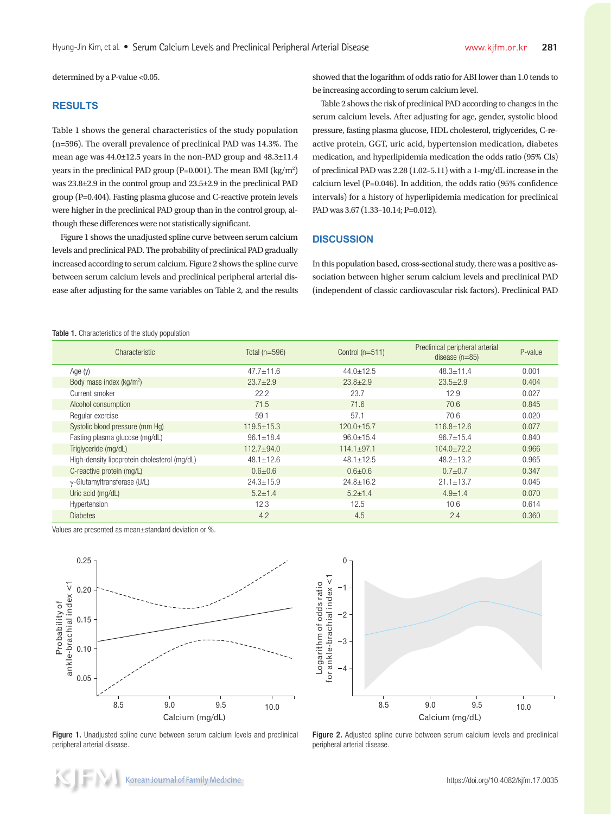determined by a P-value <0.05.

## **RESULTS**

Table 1 shows the general characteristics of the study population (n=596). The overall prevalence of preclinical PAD was 14.3%. The mean age was 44.0±12.5 years in the non-PAD group and 48.3±11.4 years in the preclinical PAD group (P=0.001). The mean BMI ( $\text{kg/m}^2$ ) was 23.8±2.9 in the control group and 23.5±2.9 in the preclinical PAD group (P=0.404). Fasting plasma glucose and C-reactive protein levels were higher in the preclinical PAD group than in the control group, although these differences were not statistically significant.

Figure 1 shows the unadjusted spline curve between serum calcium levels and preclinical PAD. The probability of preclinical PAD gradually increased according to serum calcium. Figure 2 shows the spline curve between serum calcium levels and preclinical peripheral arterial disease after adjusting for the same variables on Table 2, and the results

showed that the logarithm of odds ratio for ABI lower than 1.0 tends to be increasing according to serum calcium level.

Table 2 shows the risk of preclinical PAD according to changes in the serum calcium levels. After adjusting for age, gender, systolic blood pressure, fasting plasma glucose, HDL cholesterol, triglycerides, C-reactive protein, GGT, uric acid, hypertension medication, diabetes medication, and hyperlipidemia medication the odds ratio (95% CIs) of preclinical PAD was 2.28 (1.02–5.11) with a 1-mg/dL increase in the calcium level (P=0.046). In addition, the odds ratio (95% confidence intervals) for a history of hyperlipidemia medication for preclinical PAD was 3.67 (1.33-10.14; P=0.012).

### **DISCUSSION**

In this population based, cross-sectional study, there was a positive association between higher serum calcium levels and preclinical PAD (independent of classic cardiovascular risk factors). Preclinical PAD

Table 1. Characteristics of the study population

| Characteristic                               | Total $(n=596)$ | Control $(n=511)$ | Preclinical peripheral arterial<br>disease $(n=85)$ | P-value |
|----------------------------------------------|-----------------|-------------------|-----------------------------------------------------|---------|
| Age $(y)$                                    | $47.7 + 11.6$   | $44.0 + 12.5$     | $48.3 \pm 11.4$                                     | 0.001   |
| Body mass index (kg/m <sup>2</sup> )         | $23.7 + 2.9$    | $23.8 + 2.9$      | $23.5 + 2.9$                                        | 0.404   |
| Current smoker                               | 22.2            | 23.7              | 12.9                                                | 0.027   |
| Alcohol consumption                          | 71.5            | 71.6              | 70.6                                                | 0.845   |
| Regular exercise                             | 59.1            | 57.1              | 70.6                                                | 0.020   |
| Systolic blood pressure (mm Hq)              | $119.5 + 15.3$  | $120.0 + 15.7$    | $116.8 + 12.6$                                      | 0.077   |
| Fasting plasma glucose (mg/dL)               | $96.1 \pm 18.4$ | $96.0 \pm 15.4$   | $96.7 \pm 15.4$                                     | 0.840   |
| Triglyceride (mg/dL)                         | $112.7 + 94.0$  | $114.1 \pm 97.1$  | $104.0 \pm 72.2$                                    | 0.966   |
| High-density lipoprotein cholesterol (mg/dL) | $48.1 \pm 12.6$ | $48.1 + 12.5$     | $48.2 + 13.2$                                       | 0.965   |
| C-reactive protein (mq/L)                    | $0.6 + 0.6$     | $0.6 + 0.6$       | $0.7 + 0.7$                                         | 0.347   |
| $\gamma$ -Glutamyltransferase (U/L)          | $24.3 \pm 15.9$ | $24.8 \pm 16.2$   | $21.1 + 13.7$                                       | 0.045   |
| Uric acid (mg/dL)                            | $5.2 \pm 1.4$   | $5.2 \pm 1.4$     | $4.9 + 1.4$                                         | 0.070   |
| Hypertension                                 | 12.3            | 12.5              | 10.6                                                | 0.614   |
| <b>Diabetes</b>                              | 4.2             | 4.5               | 2.4                                                 | 0.360   |

Values are presented as mean±standard deviation or %.



Figure 1. Unadjusted spline curve between serum calcium levels and preclinical peripheral arterial disease.



Figure 2. Adjusted spline curve between serum calcium levels and preclinical peripheral arterial disease.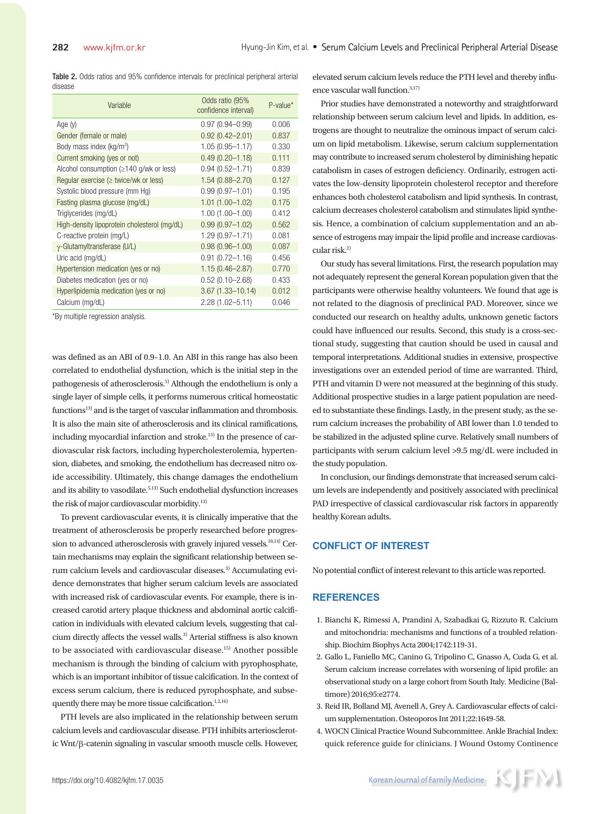Table 2. Odds ratios and 95% confidence intervals for preclinical peripheral arterial disease

| Variable                                              | Odds ratio (95%<br>confidence interval) | $P-value*$ |
|-------------------------------------------------------|-----------------------------------------|------------|
| Age $(v)$                                             | $0.97(0.94 - 0.99)$                     | 0.006      |
| Gender (female or male)                               | $0.92(0.42 - 2.01)$                     | 0.837      |
| Body mass index (kg/m <sup>2</sup> )                  | $1.05(0.95 - 1.17)$                     | 0.330      |
| Current smoking (yes or not)                          | $0.49(0.20 - 1.18)$                     | 0.111      |
| Alcohol consumption $(\geq 140 \text{ q/wk or less})$ | $0.94(0.52 - 1.71)$                     | 0.839      |
| Regular exercise ( $\geq$ twice/wk or less)           | $1.54(0.88 - 2.70)$                     | 0.127      |
| Systolic blood pressure (mm Hg)                       | $0.99(0.97 - 1.01)$                     | 0.195      |
| Fasting plasma glucose (mg/dL)                        | $1.01(1.00 - 1.02)$                     | 0.175      |
| Triglycerides (mg/dL)                                 | $1.00(1.00 - 1.00)$                     | 0.412      |
| High-density lipoprotein cholesterol (mg/dL)          | $0.99(0.97 - 1.02)$                     | 0.562      |
| C-reactive protein (mg/L)                             | $1.29(0.97 - 1.71)$                     | 0.081      |
| $\gamma$ -Glutamyltransferase (U/L)                   | $0.98(0.96 - 1.00)$                     | 0.087      |
| Uric acid (mg/dL)                                     | $0.91(0.72 - 1.16)$                     | 0.456      |
| Hypertension medication (yes or no)                   | $1.15(0.46 - 2.87)$                     | 0.770      |
| Diabetes medication (yes or no)                       | $0.52(0.10 - 2.68)$                     | 0.433      |
| Hyperlipidemia medication (yes or no)                 | $3.67(1.33 - 10.14)$                    | 0.012      |
| Calcium (mg/dL)                                       | $2.28(1.02 - 5.11)$                     | 0.046      |

\*By multiple regression analysis.

was defined as an ABI of 0.9–1.0. An ABI in this range has also been correlated to endothelial dysfunction, which is the initial step in the pathogenesis of atherosclerosis.5) Although the endothelium is only a single layer of simple cells, it performs numerous critical homeostatic functions<sup>13)</sup> and is the target of vascular inflammation and thrombosis. It is also the main site of atherosclerosis and its clinical ramifications, including myocardial infarction and stroke. $^{13)}$  In the presence of cardiovascular risk factors, including hypercholesterolemia, hypertension, diabetes, and smoking, the endothelium has decreased nitro oxide accessibility. Ultimately, this change damages the endothelium and its ability to vasodilate.<sup>5,13)</sup> Such endothelial dysfunction increases the risk of major cardiovascular morbidity.13)

To prevent cardiovascular events, it is clinically imperative that the treatment of atherosclerosis be properly researched before progression to advanced atherosclerosis with gravely injured vessels.<sup>10,14)</sup> Certain mechanisms may explain the significant relationship between serum calcium levels and cardiovascular diseases.3) Accumulating evidence demonstrates that higher serum calcium levels are associated with increased risk of cardiovascular events. For example, there is increased carotid artery plaque thickness and abdominal aortic calcification in individuals with elevated calcium levels, suggesting that calcium directly affects the vessel walls.3) Arterial stiffness is also known to be associated with cardiovascular disease.<sup>15)</sup> Another possible mechanism is through the binding of calcium with pyrophosphate, which is an important inhibitor of tissue calcification. In the context of excess serum calcium, there is reduced pyrophosphate, and subsequently there may be more tissue calcification.<sup>1,2,16)</sup>

PTH levels are also implicated in the relationship between serum calcium levels and cardiovascular disease. PTH inhibits arteriosclerotic Wnt/b-catenin signaling in vascular smooth muscle cells. However, elevated serum calcium levels reduce the PTH level and thereby influence vascular wall function.3,17)

Prior studies have demonstrated a noteworthy and straightforward relationship between serum calcium level and lipids. In addition, estrogens are thought to neutralize the ominous impact of serum calcium on lipid metabolism. Likewise, serum calcium supplementation may contribute to increased serum cholesterol by diminishing hepatic catabolism in cases of estrogen deficiency. Ordinarily, estrogen activates the low-density lipoprotein cholesterol receptor and therefore enhances both cholesterol catabolism and lipid synthesis. In contrast, calcium decreases cholesterol catabolism and stimulates lipid synthesis. Hence, a combination of calcium supplementation and an absence of estrogens may impair the lipid profile and increase cardiovascular risk.<sup>2)</sup>

Our study has several limitations. First, the research population may not adequately represent the general Korean population given that the participants were otherwise healthy volunteers. We found that age is not related to the diagnosis of preclinical PAD. Moreover, since we conducted our research on healthy adults, unknown genetic factors could have influenced our results. Second, this study is a cross-sectional study, suggesting that caution should be used in causal and temporal interpretations. Additional studies in extensive, prospective investigations over an extended period of time are warranted. Third, PTH and vitamin D were not measured at the beginning of this study. Additional prospective studies in a large patient population are needed to substantiate these findings. Lastly, in the present study, as the serum calcium increases the probability of ABI lower than 1.0 tended to be stabilized in the adjusted spline curve. Relatively small numbers of participants with serum calcium level >9.5 mg/dL were included in the study population.

In conclusion, our findings demonstrate that increased serum calcium levels are independently and positively associated with preclinical PAD irrespective of classical cardiovascular risk factors in apparently healthy Korean adults.

## **CONFLICT OF INTEREST**

No potential conflict of interest relevant to this article was reported.

#### **REFERENCES**

- 1. Bianchi K, Rimessi A, Prandini A, Szabadkai G, Rizzuto R. Calcium and mitochondria: mechanisms and functions of a troubled relationship. Biochim Biophys Acta 2004;1742:119-31.
- 2. Gallo L, Faniello MC, Canino G, Tripolino C, Gnasso A, Cuda G, et al. Serum calcium increase correlates with worsening of lipid profile: an observational study on a large cohort from South Italy. Medicine (Baltimore) 2016;95:e2774.
- 3. Reid IR, Bolland MJ, Avenell A, Grey A. Cardiovascular effects of calcium supplementation. Osteoporos Int 2011;22:1649-58.
- 4. WOCN Clinical Practice Wound Subcommittee. Ankle Brachial Index: quick reference guide for clinicians. J Wound Ostomy Continence